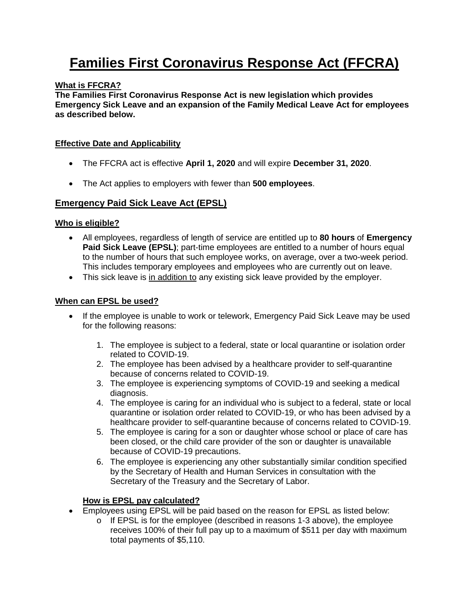# **Families First Coronavirus Response Act (FFCRA)**

## **What is FFCRA?**

**The Families First Coronavirus Response Act is new legislation which provides Emergency Sick Leave and an expansion of the Family Medical Leave Act for employees as described below.**

## **Effective Date and Applicability**

- The FFCRA act is effective **April 1, 2020** and will expire **December 31, 2020**.
- The Act applies to employers with fewer than **500 employees**.

# **Emergency Paid Sick Leave Act (EPSL)**

## **Who is eligible?**

- All employees, regardless of length of service are entitled up to **80 hours** of **Emergency Paid Sick Leave (EPSL)**; part-time employees are entitled to a number of hours equal to the number of hours that such employee works, on average, over a two-week period. This includes temporary employees and employees who are currently out on leave.
- This sick leave is in addition to any existing sick leave provided by the employer.

## **When can EPSL be used?**

- If the employee is unable to work or telework, Emergency Paid Sick Leave may be used for the following reasons:
	- 1. The employee is subject to a federal, state or local quarantine or isolation order related to COVID-19.
	- 2. The employee has been advised by a healthcare provider to self-quarantine because of concerns related to COVID-19.
	- 3. The employee is experiencing symptoms of COVID-19 and seeking a medical diagnosis.
	- 4. The employee is caring for an individual who is subject to a federal, state or local quarantine or isolation order related to COVID-19, or who has been advised by a healthcare provider to self-quarantine because of concerns related to COVID-19.
	- 5. The employee is caring for a son or daughter whose school or place of care has been closed, or the child care provider of the son or daughter is unavailable because of COVID-19 precautions.
	- 6. The employee is experiencing any other substantially similar condition specified by the Secretary of Health and Human Services in consultation with the Secretary of the Treasury and the Secretary of Labor.

## **How is EPSL pay calculated?**

- Employees using EPSL will be paid based on the reason for EPSL as listed below:
	- $\circ$  If EPSL is for the employee (described in reasons 1-3 above), the employee receives 100% of their full pay up to a maximum of \$511 per day with maximum total payments of \$5,110.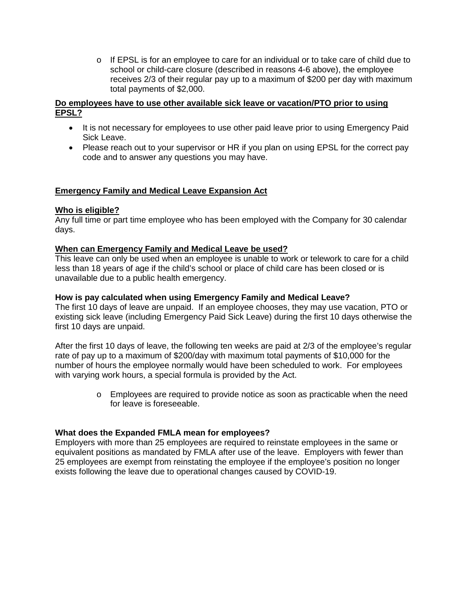$\circ$  If EPSL is for an employee to care for an individual or to take care of child due to school or child-care closure (described in reasons 4-6 above), the employee receives 2/3 of their regular pay up to a maximum of \$200 per day with maximum total payments of \$2,000.

#### **Do employees have to use other available sick leave or vacation/PTO prior to using EPSL?**

- It is not necessary for employees to use other paid leave prior to using Emergency Paid Sick Leave.
- Please reach out to your supervisor or HR if you plan on using EPSL for the correct pay code and to answer any questions you may have.

# **Emergency Family and Medical Leave Expansion Act**

## **Who is eligible?**

Any full time or part time employee who has been employed with the Company for 30 calendar days.

#### **When can Emergency Family and Medical Leave be used?**

This leave can only be used when an employee is unable to work or telework to care for a child less than 18 years of age if the child's school or place of child care has been closed or is unavailable due to a public health emergency.

#### **How is pay calculated when using Emergency Family and Medical Leave?**

The first 10 days of leave are unpaid. If an employee chooses, they may use vacation, PTO or existing sick leave (including Emergency Paid Sick Leave) during the first 10 days otherwise the first 10 days are unpaid.

After the first 10 days of leave, the following ten weeks are paid at 2/3 of the employee's regular rate of pay up to a maximum of \$200/day with maximum total payments of \$10,000 for the number of hours the employee normally would have been scheduled to work. For employees with varying work hours, a special formula is provided by the Act.

> o Employees are required to provide notice as soon as practicable when the need for leave is foreseeable.

## **What does the Expanded FMLA mean for employees?**

Employers with more than 25 employees are required to reinstate employees in the same or equivalent positions as mandated by FMLA after use of the leave. Employers with fewer than 25 employees are exempt from reinstating the employee if the employee's position no longer exists following the leave due to operational changes caused by COVID-19.